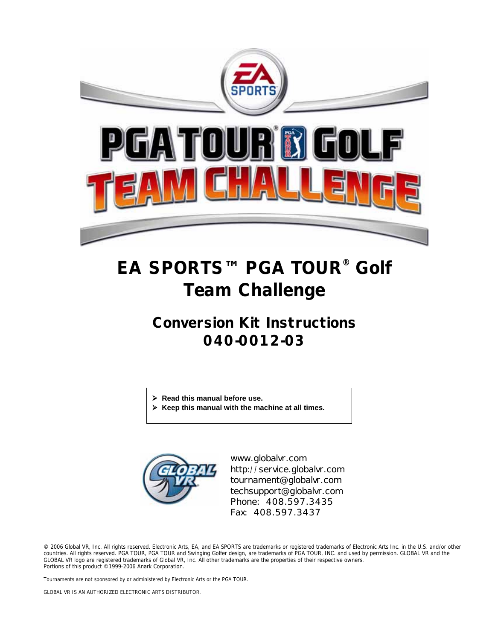

# **EA SPORTS™ PGA TOUR® Golf Team Challenge**

# **Conversion Kit Instructions 040-0012-03**

- ¾ **Read this manual before use.**
- ¾ **Keep this manual with the machine at all times.**



www.globalvr.com http://service.globalvr.com tournament@globalvr.com techsupport@globalvr.com Phone: 408.597.3435 Fax: 408.597.3437

© 2006 Global VR, Inc. All rights reserved. Electronic Arts, EA, and EA SPORTS are trademarks or registered trademarks of Electronic Arts Inc. in the U.S. and/or other<br>countries. All rights reserved. PGA TOUR, PGA TOUR and GLOBAL VR logo are registered trademarks of Global VR, Inc. All other trademarks are the properties of their respective owners. Portions of this product ©1999-2006 Anark Corporation.

Tournaments are not sponsored by or administered by Electronic Arts or the PGA TOUR.

GLOBAL VR IS AN AUTHORIZED ELECTRONIC ARTS DISTRIBUTOR.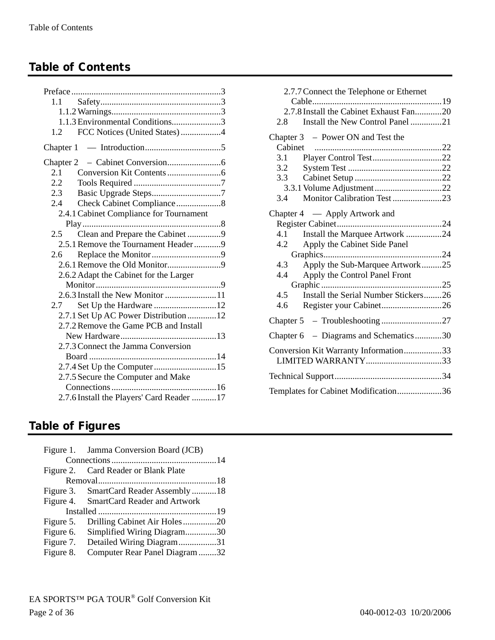# **Table of Contents**

| 1.1                                       |
|-------------------------------------------|
|                                           |
| 1.1.3 Environmental Conditions3           |
| FCC Notices (United States)4<br>1.2       |
|                                           |
|                                           |
| 2.1                                       |
| $2.2^{\circ}$                             |
| 2.3<br>Basic Upgrade Steps7               |
| 2.4                                       |
| 2.4.1 Cabinet Compliance for Tournament   |
|                                           |
| Clean and Prepare the Cabinet 9<br>2.5    |
| 2.5.1 Remove the Tournament Header9       |
| 2.6                                       |
|                                           |
| 2.6.2 Adapt the Cabinet for the Larger    |
|                                           |
|                                           |
| 2.7                                       |
| 2.7.1 Set Up AC Power Distribution 12     |
| 2.7.2 Remove the Game PCB and Install     |
|                                           |
| 2.7.3 Connect the Jamma Conversion        |
|                                           |
| 2.7.4 Set Up the Computer15               |
| 2.7.5 Secure the Computer and Make        |
|                                           |
| 2.7.6 Install the Players' Card Reader 17 |
|                                           |

| 2.7.7 Connect the Telephone or Ethernet                     |  |  |  |  |
|-------------------------------------------------------------|--|--|--|--|
|                                                             |  |  |  |  |
| 2.7.8 Install the Cabinet Exhaust Fan20                     |  |  |  |  |
| Install the New Control Panel 21<br>2.8                     |  |  |  |  |
| Chapter $3$ – Power ON and Test the                         |  |  |  |  |
|                                                             |  |  |  |  |
| 3.1                                                         |  |  |  |  |
| 3.2                                                         |  |  |  |  |
| 3.3                                                         |  |  |  |  |
|                                                             |  |  |  |  |
| Monitor Calibration Test 23<br>3.4                          |  |  |  |  |
| Chapter 4 — Apply Artwork and                               |  |  |  |  |
|                                                             |  |  |  |  |
| Install the Marquee Artwork 24<br>4.1                       |  |  |  |  |
| Apply the Cabinet Side Panel<br>4.2                         |  |  |  |  |
|                                                             |  |  |  |  |
| 4.3<br>Apply the Sub-Marquee Artwork25                      |  |  |  |  |
| Apply the Control Panel Front<br>4.4                        |  |  |  |  |
|                                                             |  |  |  |  |
| Install the Serial Number Stickers26<br>4.5                 |  |  |  |  |
| Register your Cabinet26<br>4.6                              |  |  |  |  |
| Chapter 5 - Troubleshooting 27                              |  |  |  |  |
| Chapter 6 - Diagrams and Schematics30                       |  |  |  |  |
| Conversion Kit Warranty Information33<br>LIMITED WARRANTY33 |  |  |  |  |
|                                                             |  |  |  |  |
| Templates for Cabinet Modification36                        |  |  |  |  |

# **Table of Figures**

|           | Figure 1. Jamma Conversion Board (JCB) |  |
|-----------|----------------------------------------|--|
|           |                                        |  |
|           | Figure 2. Card Reader or Blank Plate   |  |
|           |                                        |  |
|           | Figure 3. SmartCard Reader Assembly 18 |  |
|           | Figure 4. SmartCard Reader and Artwork |  |
|           |                                        |  |
| Figure 5. | Drilling Cabinet Air Holes20           |  |
|           | Figure 6. Simplified Wiring Diagram30  |  |
| Figure 7. | Detailed Wiring Diagram31              |  |
| Figure 8. | Computer Rear Panel Diagram32          |  |
|           |                                        |  |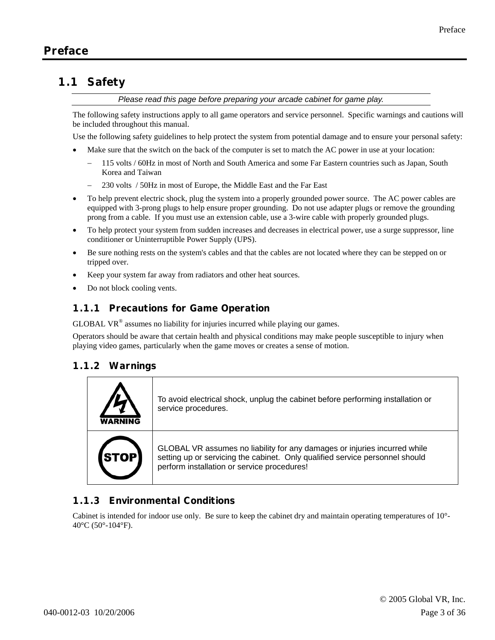# **1.1 Safety**

*Please read this page before preparing your arcade cabinet for game play.* 

The following safety instructions apply to all game operators and service personnel. Specific warnings and cautions will be included throughout this manual.

Use the following safety guidelines to help protect the system from potential damage and to ensure your personal safety:

- Make sure that the switch on the back of the computer is set to match the AC power in use at your location:
	- − 115 volts / 60Hz in most of North and South America and some Far Eastern countries such as Japan, South Korea and Taiwan
		- − 230 volts / 50Hz in most of Europe, the Middle East and the Far East
- To help prevent electric shock, plug the system into a properly grounded power source. The AC power cables are equipped with 3-prong plugs to help ensure proper grounding. Do not use adapter plugs or remove the grounding prong from a cable. If you must use an extension cable, use a 3-wire cable with properly grounded plugs.
- To help protect your system from sudden increases and decreases in electrical power, use a surge suppressor, line conditioner or Uninterruptible Power Supply (UPS).
- Be sure nothing rests on the system's cables and that the cables are not located where they can be stepped on or tripped over.
- Keep your system far away from radiators and other heat sources.
- Do not block cooling vents.

#### **1.1.1 Precautions for Game Operation**

GLOBAL VR® assumes no liability for injuries incurred while playing our games.

Operators should be aware that certain health and physical conditions may make people susceptible to injury when playing video games, particularly when the game moves or creates a sense of motion.

#### **1.1.2 Warnings**

|             | To avoid electrical shock, unplug the cabinet before performing installation or<br>service procedures.                                                                                                   |
|-------------|----------------------------------------------------------------------------------------------------------------------------------------------------------------------------------------------------------|
| <b>STOP</b> | GLOBAL VR assumes no liability for any damages or injuries incurred while<br>setting up or servicing the cabinet. Only qualified service personnel should<br>perform installation or service procedures! |

### **1.1.3 Environmental Conditions**

Cabinet is intended for indoor use only. Be sure to keep the cabinet dry and maintain operating temperatures of 10°- 40 $\rm ^{o}C$  (50 $\rm ^{o}$ -104 $\rm ^{o}F$ ).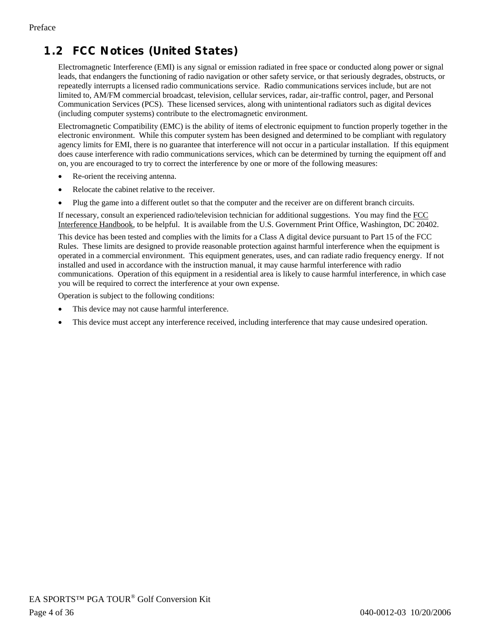# **1.2 FCC Notices (United States)**

Electromagnetic Interference (EMI) is any signal or emission radiated in free space or conducted along power or signal leads, that endangers the functioning of radio navigation or other safety service, or that seriously degrades, obstructs, or repeatedly interrupts a licensed radio communications service. Radio communications services include, but are not limited to, AM/FM commercial broadcast, television, cellular services, radar, air-traffic control, pager, and Personal Communication Services (PCS). These licensed services, along with unintentional radiators such as digital devices (including computer systems) contribute to the electromagnetic environment.

Electromagnetic Compatibility (EMC) is the ability of items of electronic equipment to function properly together in the electronic environment. While this computer system has been designed and determined to be compliant with regulatory agency limits for EMI, there is no guarantee that interference will not occur in a particular installation. If this equipment does cause interference with radio communications services, which can be determined by turning the equipment off and on, you are encouraged to try to correct the interference by one or more of the following measures:

- Re-orient the receiving antenna.
- Relocate the cabinet relative to the receiver.
- Plug the game into a different outlet so that the computer and the receiver are on different branch circuits.

If necessary, consult an experienced radio/television technician for additional suggestions. You may find the FCC Interference Handbook, to be helpful. It is available from the U.S. Government Print Office, Washington, DC 20402.

This device has been tested and complies with the limits for a Class A digital device pursuant to Part 15 of the FCC Rules. These limits are designed to provide reasonable protection against harmful interference when the equipment is operated in a commercial environment. This equipment generates, uses, and can radiate radio frequency energy. If not installed and used in accordance with the instruction manual, it may cause harmful interference with radio communications. Operation of this equipment in a residential area is likely to cause harmful interference, in which case you will be required to correct the interference at your own expense.

Operation is subject to the following conditions:

- This device may not cause harmful interference.
- This device must accept any interference received, including interference that may cause undesired operation.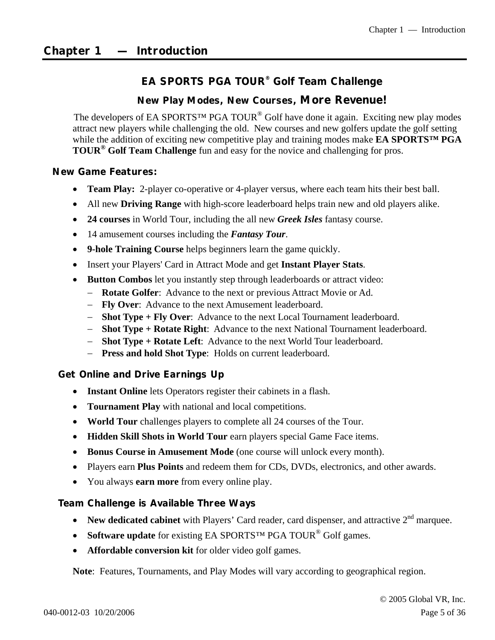### **EA SPORTS PGA TOUR® Golf Team Challenge**

#### **New Play Modes, New Courses,** *More Revenue!*

The developers of EA SPORTS<sup>™</sup> PGA TOUR<sup>®</sup> Golf have done it again. Exciting new play modes attract new players while challenging the old. New courses and new golfers update the golf setting while the addition of exciting new competitive play and training modes make **EA SPORTS™ PGA TOUR® Golf Team Challenge** fun and easy for the novice and challenging for pros.

#### *New Game Features:*

- **Team Play:** 2-player co-operative or 4-player versus, where each team hits their best ball.
- All new **Driving Range** with high-score leaderboard helps train new and old players alike.
- **24 courses** in World Tour, including the all new *Greek Isles* fantasy course.
- 14 amusement courses including the *Fantasy Tour*.
- **9-hole Training Course** helps beginners learn the game quickly.
- Insert your Players' Card in Attract Mode and get **Instant Player Stats**.
- **Button Combos** let you instantly step through leaderboards or attract video:
	- − **Rotate Golfer**: Advance to the next or previous Attract Movie or Ad.
	- − **Fly Over**: Advance to the next Amusement leaderboard.
	- − **Shot Type + Fly Over**: Advance to the next Local Tournament leaderboard.
	- − **Shot Type + Rotate Right**: Advance to the next National Tournament leaderboard.
	- − **Shot Type + Rotate Left**: Advance to the next World Tour leaderboard.
	- − **Press and hold Shot Type**: Holds on current leaderboard.

#### *Get Online and Drive Earnings Up*

- **Instant Online** lets Operators register their cabinets in a flash.
- **Tournament Play** with national and local competitions.
- **World Tour** challenges players to complete all 24 courses of the Tour.
- **Hidden Skill Shots in World Tour** earn players special Game Face items.
- **Bonus Course in Amusement Mode** (one course will unlock every month).
- Players earn **Plus Points** and redeem them for CDs, DVDs, electronics, and other awards.
- You always **earn more** from every online play.

#### *Team Challenge is Available Three Ways*

- **New dedicated cabinet** with Players' Card reader, card dispenser, and attractive 2<sup>nd</sup> marquee.
- **Software update** for existing EA SPORTS<sup>™</sup> PGA TOUR<sup>®</sup> Golf games.
- **Affordable conversion kit** for older video golf games.

**Note**: Features, Tournaments, and Play Modes will vary according to geographical region.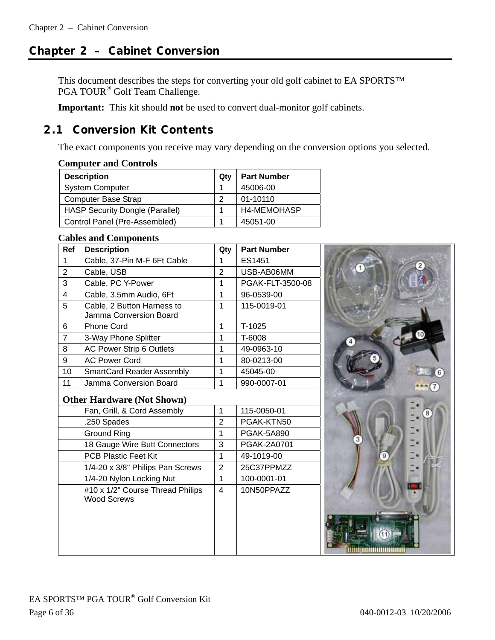# **Chapter 2 – Cabinet Conversion**

This document describes the steps for converting your old golf cabinet to EA SPORTS™ PGA TOUR® Golf Team Challenge.

**Important:** This kit should **not** be used to convert dual-monitor golf cabinets.

# **2.1 Conversion Kit Contents**

The exact components you receive may vary depending on the conversion options you selected.

#### **Computer and Controls**

| <b>Description</b>                     | Qtv | <b>Part Number</b> |
|----------------------------------------|-----|--------------------|
| <b>System Computer</b>                 |     | 45006-00           |
| <b>Computer Base Strap</b>             | 2   | 01-10110           |
| <b>HASP Security Dongle (Parallel)</b> |     | <b>H4-MEMOHASP</b> |
| Control Panel (Pre-Assembled)          |     | 45051-00           |

#### **Cables and Components**

| Ref            | <b>Description</b>                                     | Qty                     | <b>Part Number</b> |  |
|----------------|--------------------------------------------------------|-------------------------|--------------------|--|
| 1              | Cable, 37-Pin M-F 6Ft Cable                            | 1                       | ES1451             |  |
| $\overline{2}$ | Cable, USB                                             | $\overline{2}$          | USB-AB06MM         |  |
| 3              | Cable, PC Y-Power                                      | 1                       | PGAK-FLT-3500-08   |  |
| $\overline{4}$ | Cable, 3.5mm Audio, 6Ft                                | 1                       | 96-0539-00         |  |
| 5              | Cable, 2 Button Harness to<br>Jamma Conversion Board   | 1                       | 115-0019-01        |  |
| 6              | <b>Phone Cord</b>                                      | 1                       | T-1025             |  |
| $\overline{7}$ | 3-Way Phone Splitter                                   | 1                       | T-6008             |  |
| 8              | AC Power Strip 6 Outlets                               | 1                       | 49-0963-10         |  |
| 9              | <b>AC Power Cord</b>                                   | 1                       | 80-0213-00         |  |
| 10             | <b>SmartCard Reader Assembly</b>                       | 1                       | 45045-00           |  |
| 11             | Jamma Conversion Board                                 | 1                       | 990-0007-01        |  |
|                | <b>Other Hardware (Not Shown)</b>                      |                         |                    |  |
|                | Fan, Grill, & Cord Assembly                            | 1                       | 115-0050-01        |  |
|                | .250 Spades                                            | $\overline{2}$          | PGAK-KTN50         |  |
|                | <b>Ground Ring</b>                                     | 1                       | PGAK-5A890         |  |
|                | 18 Gauge Wire Butt Connectors                          | 3                       | PGAK-2A0701        |  |
|                | <b>PCB Plastic Feet Kit</b>                            | 1                       | 49-1019-00         |  |
|                | 1/4-20 x 3/8" Philips Pan Screws                       | $\overline{2}$          | 25C37PPMZZ         |  |
|                | 1/4-20 Nylon Locking Nut                               | 1                       | 100-0001-01        |  |
|                | #10 x 1/2" Course Thread Philips<br><b>Wood Screws</b> | $\overline{\mathbf{4}}$ | 10N50PPAZZ         |  |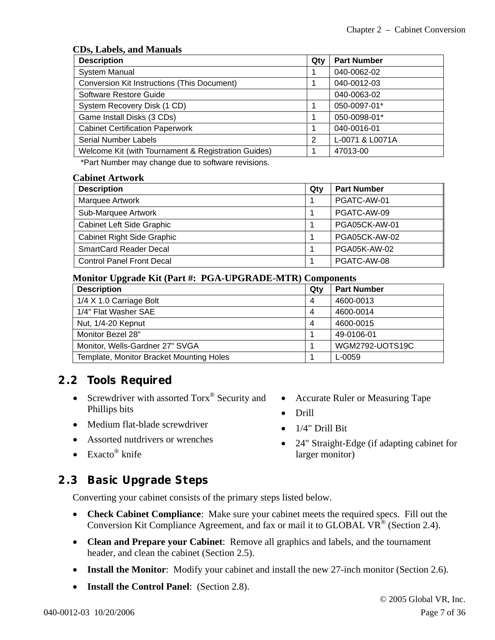#### **CDs, Labels, and Manuals**

| <b>Description</b>                                  | Qty | <b>Part Number</b> |
|-----------------------------------------------------|-----|--------------------|
| <b>System Manual</b>                                |     | 040-0062-02        |
| Conversion Kit Instructions (This Document)         |     | 040-0012-03        |
| Software Restore Guide                              |     | 040-0063-02        |
| System Recovery Disk (1 CD)                         |     | 050-0097-01*       |
| Game Install Disks (3 CDs)                          |     | 050-0098-01*       |
| <b>Cabinet Certification Paperwork</b>              |     | 040-0016-01        |
| <b>Serial Number Labels</b>                         | 2   | L-0071 & L0071A    |
| Welcome Kit (with Tournament & Registration Guides) |     | 47013-00           |

\*Part Number may change due to software revisions.

#### **Cabinet Artwork**

| <b>Description</b>                | Qty | <b>Part Number</b>  |
|-----------------------------------|-----|---------------------|
| Marquee Artwork                   |     | PGATC-AW-01         |
| Sub-Marquee Artwork               |     | PGATC-AW-09         |
| Cabinet Left Side Graphic         |     | PGA05CK-AW-01       |
| <b>Cabinet Right Side Graphic</b> |     | PGA05CK-AW-02       |
| <b>SmartCard Reader Decal</b>     |     | <b>PGA05K-AW-02</b> |
| <b>Control Panel Front Decal</b>  |     | PGATC-AW-08         |

#### **Monitor Upgrade Kit (Part #: PGA-UPGRADE-MTR) Components**

| <b>Description</b>                       | Qty | <b>Part Number</b> |
|------------------------------------------|-----|--------------------|
| 1/4 X 1.0 Carriage Bolt                  | 4   | 4600-0013          |
| 1/4" Flat Washer SAE                     | 4   | 4600-0014          |
| Nut, 1/4-20 Kepnut                       | 4   | 4600-0015          |
| Monitor Bezel 28"                        |     | 49-0106-01         |
| Monitor, Wells-Gardner 27" SVGA          |     | WGM2792-UOTS19C    |
| Template, Monitor Bracket Mounting Holes |     | L-0059             |

### **2.2 Tools Required**

- Screwdriver with assorted Torx<sup>®</sup> Security and Phillips bits
- Medium flat-blade screwdriver
- Assorted nutdrivers or wrenches
- Exacto<sup>®</sup> knife

# **2.3 Basic Upgrade Steps**

Converting your cabinet consists of the primary steps listed below.

- **Check Cabinet Compliance**: Make sure your cabinet meets the required specs. Fill out the Conversion Kit Compliance Agreement, and fax or mail it to GLOBAL VR<sup>®</sup> (Section 2.4).
- **Clean and Prepare your Cabinet**: Remove all graphics and labels, and the tournament header, and clean the cabinet (Section 2.5).
- **Install the Monitor**: Modify your cabinet and install the new 27-inch monitor (Section 2.6).
- **Install the Control Panel**: (Section 2.8).
- Accurate Ruler or Measuring Tape
- Drill
- $\bullet$  1/4" Drill Bit
- 24" Straight-Edge (if adapting cabinet for larger monitor)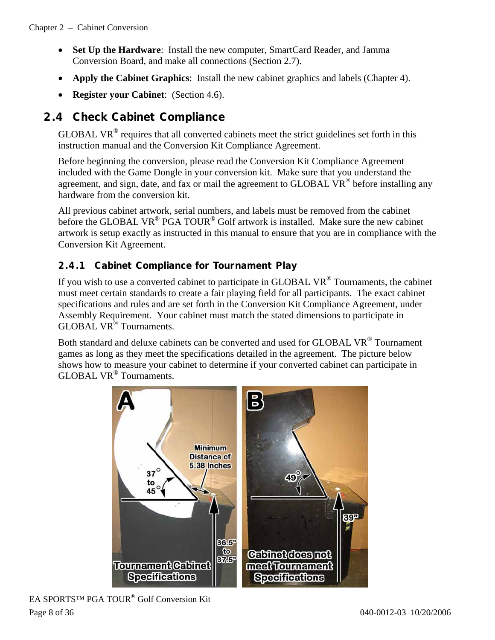- **Set Up the Hardware**: Install the new computer, SmartCard Reader, and Jamma Conversion Board, and make all connections (Section 2.7).
- **Apply the Cabinet Graphics**: Install the new cabinet graphics and labels (Chapter 4).
- **Register your Cabinet**: (Section 4.6).

# **2.4 Check Cabinet Compliance**

GLOBAL VR<sup>®</sup> requires that all converted cabinets meet the strict guidelines set forth in this instruction manual and the Conversion Kit Compliance Agreement.

Before beginning the conversion, please read the Conversion Kit Compliance Agreement included with the Game Dongle in your conversion kit. Make sure that you understand the agreement, and sign, date, and fax or mail the agreement to  $GLOBAL$  VR<sup>®</sup> before installing any hardware from the conversion kit.

All previous cabinet artwork, serial numbers, and labels must be removed from the cabinet before the GLOBAL VR<sup>®</sup> PGA TOUR<sup>®</sup> Golf artwork is installed. Make sure the new cabinet artwork is setup exactly as instructed in this manual to ensure that you are in compliance with the Conversion Kit Agreement.

### **2.4.1 Cabinet Compliance for Tournament Play**

If you wish to use a converted cabinet to participate in GLOBAL  $VR^{\circledast}$  Tournaments, the cabinet must meet certain standards to create a fair playing field for all participants. The exact cabinet specifications and rules and are set forth in the Conversion Kit Compliance Agreement, under Assembly Requirement. Your cabinet must match the stated dimensions to participate in GLOBAL VR® Tournaments.

Both standard and deluxe cabinets can be converted and used for GLOBAL VR<sup>®</sup> Tournament games as long as they meet the specifications detailed in the agreement. The picture below shows how to measure your cabinet to determine if your converted cabinet can participate in GLOBAL VR® Tournaments.

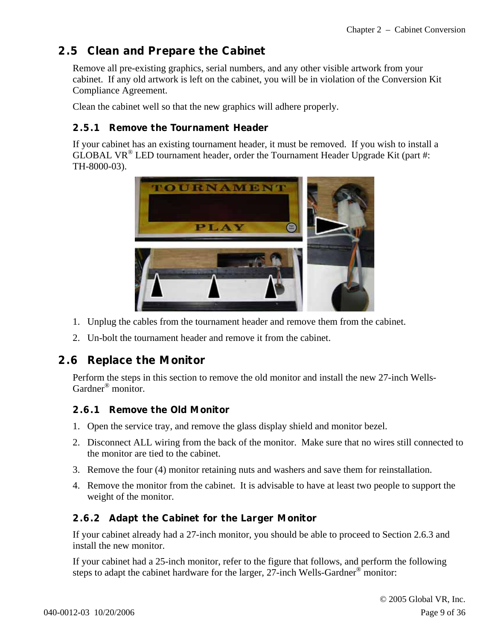# **2.5 Clean and Prepare the Cabinet**

Remove all pre-existing graphics, serial numbers, and any other visible artwork from your cabinet. If any old artwork is left on the cabinet, you will be in violation of the Conversion Kit Compliance Agreement.

Clean the cabinet well so that the new graphics will adhere properly.

#### **2.5.1 Remove the Tournament Header**

If your cabinet has an existing tournament header, it must be removed. If you wish to install a GLOBAL VR<sup>®</sup> LED tournament header, order the Tournament Header Upgrade Kit (part #: TH-8000-03).



- 1. Unplug the cables from the tournament header and remove them from the cabinet.
- 2. Un-bolt the tournament header and remove it from the cabinet.

# **2.6 Replace the Monitor**

Perform the steps in this section to remove the old monitor and install the new 27-inch Wells-Gardner® monitor.

### **2.6.1 Remove the Old Monitor**

- 1. Open the service tray, and remove the glass display shield and monitor bezel.
- 2. Disconnect ALL wiring from the back of the monitor. Make sure that no wires still connected to the monitor are tied to the cabinet.
- 3. Remove the four (4) monitor retaining nuts and washers and save them for reinstallation.
- 4. Remove the monitor from the cabinet. It is advisable to have at least two people to support the weight of the monitor.

### **2.6.2 Adapt the Cabinet for the Larger Monitor**

If your cabinet already had a 27-inch monitor, you should be able to proceed to Section 2.6.3 and install the new monitor.

If your cabinet had a 25-inch monitor, refer to the figure that follows, and perform the following steps to adapt the cabinet hardware for the larger, 27-inch Wells-Gardner<sup>®</sup> monitor: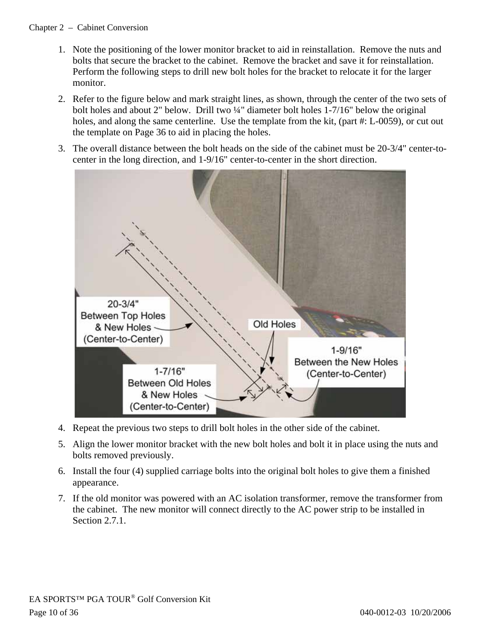#### Chapter 2 – Cabinet Conversion

- 1. Note the positioning of the lower monitor bracket to aid in reinstallation. Remove the nuts and bolts that secure the bracket to the cabinet. Remove the bracket and save it for reinstallation. Perform the following steps to drill new bolt holes for the bracket to relocate it for the larger monitor.
- 2. Refer to the figure below and mark straight lines, as shown, through the center of the two sets of bolt holes and about 2" below. Drill two ¼" diameter bolt holes 1-7/16" below the original holes, and along the same centerline. Use the template from the kit, (part #: L-0059), or cut out the template on Page 36 to aid in placing the holes.
- 3. The overall distance between the bolt heads on the side of the cabinet must be 20-3/4" center-tocenter in the long direction, and 1-9/16" center-to-center in the short direction.



- 4. Repeat the previous two steps to drill bolt holes in the other side of the cabinet.
- 5. Align the lower monitor bracket with the new bolt holes and bolt it in place using the nuts and bolts removed previously.
- 6. Install the four (4) supplied carriage bolts into the original bolt holes to give them a finished appearance.
- 7. If the old monitor was powered with an AC isolation transformer, remove the transformer from the cabinet. The new monitor will connect directly to the AC power strip to be installed in Section 2.7.1.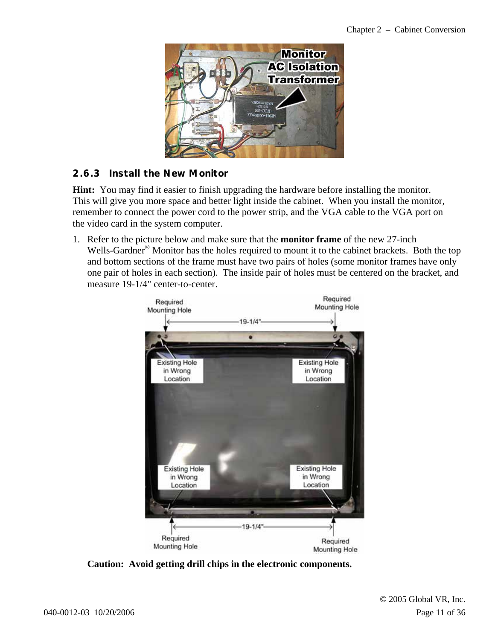

### **2.6.3 Install the New Monitor**

**Hint:** You may find it easier to finish upgrading the hardware before installing the monitor. This will give you more space and better light inside the cabinet. When you install the monitor, remember to connect the power cord to the power strip, and the VGA cable to the VGA port on the video card in the system computer.

1. Refer to the picture below and make sure that the **monitor frame** of the new 27-inch Wells-Gardner<sup>®</sup> Monitor has the holes required to mount it to the cabinet brackets. Both the top and bottom sections of the frame must have two pairs of holes (some monitor frames have only one pair of holes in each section). The inside pair of holes must be centered on the bracket, and measure 19-1/4" center-to-center.



**Caution: Avoid getting drill chips in the electronic components.**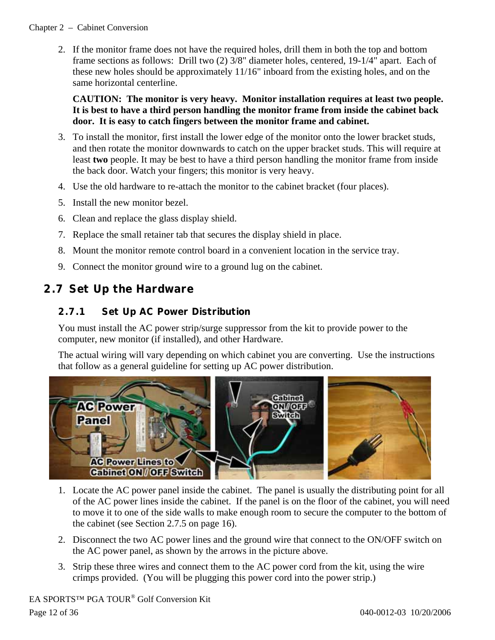#### Chapter 2 – Cabinet Conversion

2. If the monitor frame does not have the required holes, drill them in both the top and bottom frame sections as follows: Drill two (2) 3/8" diameter holes, centered, 19-1/4" apart. Each of these new holes should be approximately 11/16" inboard from the existing holes, and on the same horizontal centerline.

#### **CAUTION: The monitor is very heavy. Monitor installation requires at least two people. It is best to have a third person handling the monitor frame from inside the cabinet back door. It is easy to catch fingers between the monitor frame and cabinet.**

- 3. To install the monitor, first install the lower edge of the monitor onto the lower bracket studs, and then rotate the monitor downwards to catch on the upper bracket studs. This will require at least **two** people. It may be best to have a third person handling the monitor frame from inside the back door. Watch your fingers; this monitor is very heavy.
- 4. Use the old hardware to re-attach the monitor to the cabinet bracket (four places).
- 5. Install the new monitor bezel.
- 6. Clean and replace the glass display shield.
- 7. Replace the small retainer tab that secures the display shield in place.
- 8. Mount the monitor remote control board in a convenient location in the service tray.
- 9. Connect the monitor ground wire to a ground lug on the cabinet.

# **2.7 Set Up the Hardware**

### **2.7.1 Set Up AC Power Distribution**

You must install the AC power strip/surge suppressor from the kit to provide power to the computer, new monitor (if installed), and other Hardware.

The actual wiring will vary depending on which cabinet you are converting. Use the instructions that follow as a general guideline for setting up AC power distribution.



- 1. Locate the AC power panel inside the cabinet. The panel is usually the distributing point for all of the AC power lines inside the cabinet. If the panel is on the floor of the cabinet, you will need to move it to one of the side walls to make enough room to secure the computer to the bottom of the cabinet (see Section 2.7.5 on page 16).
- 2. Disconnect the two AC power lines and the ground wire that connect to the ON/OFF switch on the AC power panel, as shown by the arrows in the picture above.
- 3. Strip these three wires and connect them to the AC power cord from the kit, using the wire crimps provided. (You will be plugging this power cord into the power strip.)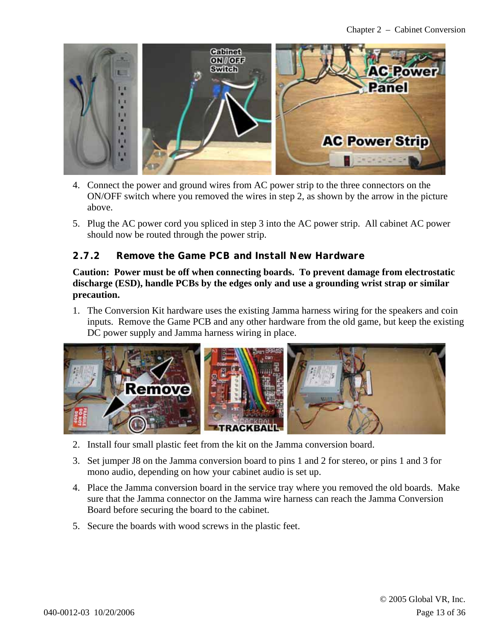

- 4. Connect the power and ground wires from AC power strip to the three connectors on the ON/OFF switch where you removed the wires in step 2, as shown by the arrow in the picture above.
- 5. Plug the AC power cord you spliced in step 3 into the AC power strip. All cabinet AC power should now be routed through the power strip.

### **2.7.2 Remove the Game PCB and Install New Hardware**

**Caution: Power must be off when connecting boards. To prevent damage from electrostatic discharge (ESD), handle PCBs by the edges only and use a grounding wrist strap or similar precaution.** 

1. The Conversion Kit hardware uses the existing Jamma harness wiring for the speakers and coin inputs. Remove the Game PCB and any other hardware from the old game, but keep the existing DC power supply and Jamma harness wiring in place.



- 2. Install four small plastic feet from the kit on the Jamma conversion board.
- 3. Set jumper J8 on the Jamma conversion board to pins 1 and 2 for stereo, or pins 1 and 3 for mono audio, depending on how your cabinet audio is set up.
- 4. Place the Jamma conversion board in the service tray where you removed the old boards. Make sure that the Jamma connector on the Jamma wire harness can reach the Jamma Conversion Board before securing the board to the cabinet.
- 5. Secure the boards with wood screws in the plastic feet.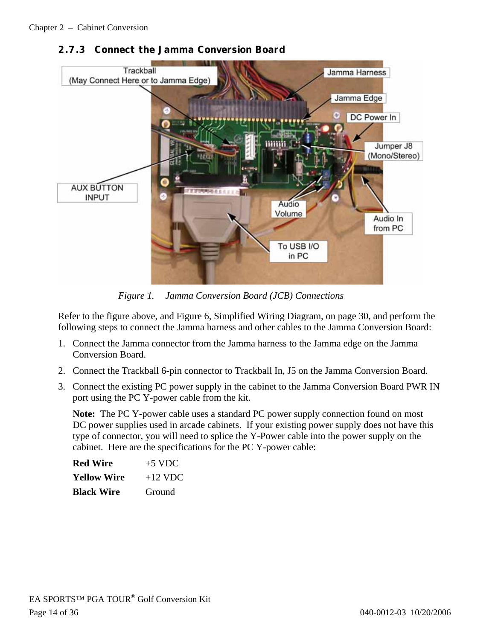

### **2.7.3 Connect the Jamma Conversion Board**

*Figure 1. Jamma Conversion Board (JCB) Connections* 

Refer to the figure above, and Figure 6, Simplified Wiring Diagram, on page 30, and perform the following steps to connect the Jamma harness and other cables to the Jamma Conversion Board:

- 1. Connect the Jamma connector from the Jamma harness to the Jamma edge on the Jamma Conversion Board.
- 2. Connect the Trackball 6-pin connector to Trackball In, J5 on the Jamma Conversion Board.
- 3. Connect the existing PC power supply in the cabinet to the Jamma Conversion Board PWR IN port using the PC Y-power cable from the kit.

**Note:** The PC Y-power cable uses a standard PC power supply connection found on most DC power supplies used in arcade cabinets. If your existing power supply does not have this type of connector, you will need to splice the Y-Power cable into the power supply on the cabinet. Here are the specifications for the PC Y-power cable:

| Red Wire          | $+5$ VDC  |
|-------------------|-----------|
| Yellow Wire       | $+12$ VDC |
| <b>Black Wire</b> | Ground    |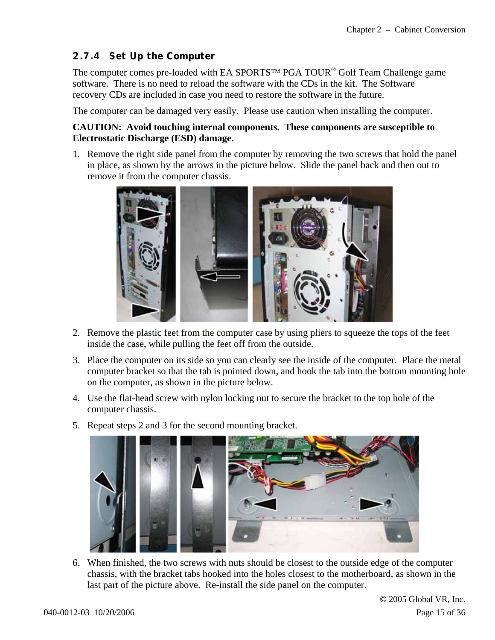### **2.7.4 Set Up the Computer**

The computer comes pre-loaded with EA SPORTS™ PGA TOUR<sup>®</sup> Golf Team Challenge game software. There is no need to reload the software with the CDs in the kit. The Software recovery CDs are included in case you need to restore the software in the future.

The computer can be damaged very easily. Please use caution when installing the computer.

#### **CAUTION: Avoid touching internal components. These components are susceptible to Electrostatic Discharge (ESD) damage.**

1. Remove the right side panel from the computer by removing the two screws that hold the panel in place, as shown by the arrows in the picture below. Slide the panel back and then out to remove it from the computer chassis.



- 2. Remove the plastic feet from the computer case by using pliers to squeeze the tops of the feet inside the case, while pulling the feet off from the outside.
- 3. Place the computer on its side so you can clearly see the inside of the computer. Place the metal computer bracket so that the tab is pointed down, and hook the tab into the bottom mounting hole on the computer, as shown in the picture below.
- 4. Use the flat-head screw with nylon locking nut to secure the bracket to the top hole of the computer chassis.



5. Repeat steps 2 and 3 for the second mounting bracket.

6. When finished, the two screws with nuts should be closest to the outside edge of the computer chassis, with the bracket tabs hooked into the holes closest to the motherboard, as shown in the last part of the picture above. Re-install the side panel on the computer.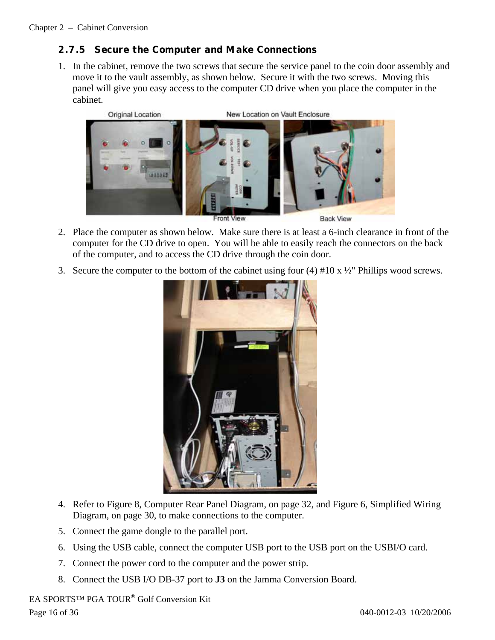### **2.7.5 Secure the Computer and Make Connections**

1. In the cabinet, remove the two screws that secure the service panel to the coin door assembly and move it to the vault assembly, as shown below. Secure it with the two screws. Moving this panel will give you easy access to the computer CD drive when you place the computer in the cabinet.



- 2. Place the computer as shown below. Make sure there is at least a 6-inch clearance in front of the computer for the CD drive to open. You will be able to easily reach the connectors on the back of the computer, and to access the CD drive through the coin door.
- 3. Secure the computer to the bottom of the cabinet using four  $(4)$  #10 x  $\frac{1}{2}$ " Phillips wood screws.



- 4. Refer to Figure 8, Computer Rear Panel Diagram, on page 32, and Figure 6, Simplified Wiring Diagram, on page 30, to make connections to the computer.
- 5. Connect the game dongle to the parallel port.
- 6. Using the USB cable, connect the computer USB port to the USB port on the USBI/O card.
- 7. Connect the power cord to the computer and the power strip.
- 8. Connect the USB I/O DB-37 port to **J3** on the Jamma Conversion Board.

EA SPORTS™ PGA TOUR® Golf Conversion Kit Page 16 of 36 040-0012-03 10/20/2006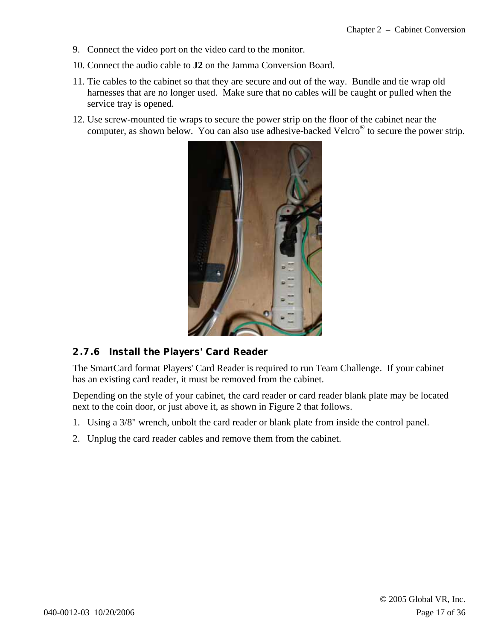- 9. Connect the video port on the video card to the monitor.
- 10. Connect the audio cable to **J2** on the Jamma Conversion Board.
- 11. Tie cables to the cabinet so that they are secure and out of the way. Bundle and tie wrap old harnesses that are no longer used. Make sure that no cables will be caught or pulled when the service tray is opened.
- 12. Use screw-mounted tie wraps to secure the power strip on the floor of the cabinet near the computer, as shown below. You can also use adhesive-backed Velcro® to secure the power strip.



#### **2.7.6 Install the Players' Card Reader**

The SmartCard format Players' Card Reader is required to run Team Challenge. If your cabinet has an existing card reader, it must be removed from the cabinet.

Depending on the style of your cabinet, the card reader or card reader blank plate may be located next to the coin door, or just above it, as shown in Figure 2 that follows.

- 1. Using a 3/8" wrench, unbolt the card reader or blank plate from inside the control panel.
- 2. Unplug the card reader cables and remove them from the cabinet.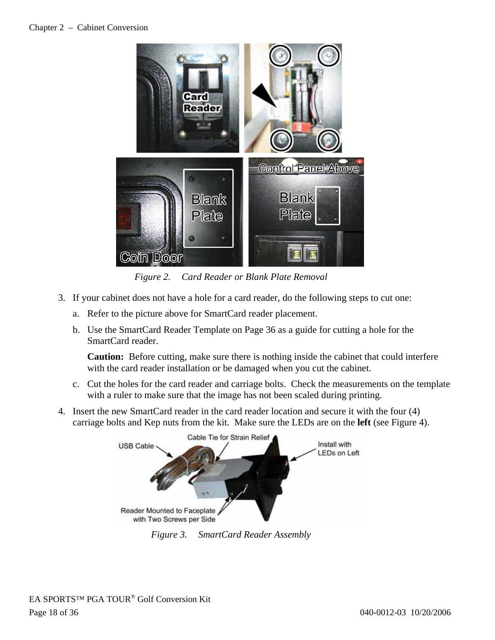#### Chapter 2 – Cabinet Conversion



*Figure 2. Card Reader or Blank Plate Removal* 

- 3. If your cabinet does not have a hole for a card reader, do the following steps to cut one:
	- a. Refer to the picture above for SmartCard reader placement.
	- b. Use the SmartCard Reader Template on Page 36 as a guide for cutting a hole for the SmartCard reader.

**Caution:** Before cutting, make sure there is nothing inside the cabinet that could interfere with the card reader installation or be damaged when you cut the cabinet.

- c. Cut the holes for the card reader and carriage bolts. Check the measurements on the template with a ruler to make sure that the image has not been scaled during printing.
- 4. Insert the new SmartCard reader in the card reader location and secure it with the four (4) carriage bolts and Kep nuts from the kit. Make sure the LEDs are on the **left** (see Figure 4).



*Figure 3. SmartCard Reader Assembly*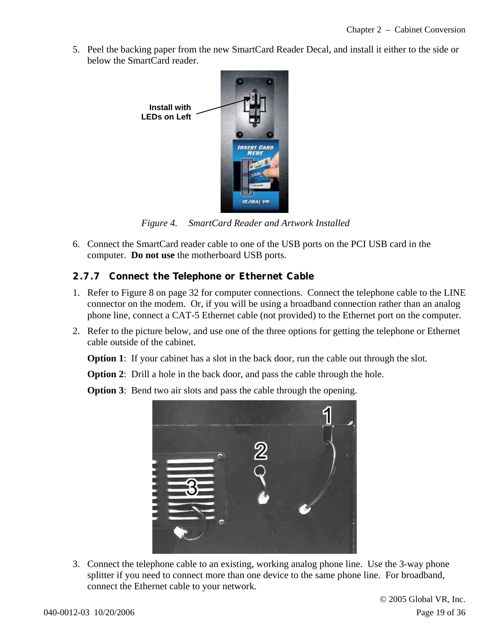5. Peel the backing paper from the new SmartCard Reader Decal, and install it either to the side or below the SmartCard reader.



*Figure 4. SmartCard Reader and Artwork Installed* 

6. Connect the SmartCard reader cable to one of the USB ports on the PCI USB card in the computer. **Do not use** the motherboard USB ports.

#### **2.7.7 Connect the Telephone or Ethernet Cable**

- 1. Refer to Figure 8 on page 32 for computer connections. Connect the telephone cable to the LINE connector on the modem. Or, if you will be using a broadband connection rather than an analog phone line, connect a CAT-5 Ethernet cable (not provided) to the Ethernet port on the computer.
- 2. Refer to the picture below, and use one of the three options for getting the telephone or Ethernet cable outside of the cabinet.

**Option 1**: If your cabinet has a slot in the back door, run the cable out through the slot.

**Option 2:** Drill a hole in the back door, and pass the cable through the hole.

**Option 3:** Bend two air slots and pass the cable through the opening.



3. Connect the telephone cable to an existing, working analog phone line. Use the 3-way phone splitter if you need to connect more than one device to the same phone line. For broadband, connect the Ethernet cable to your network.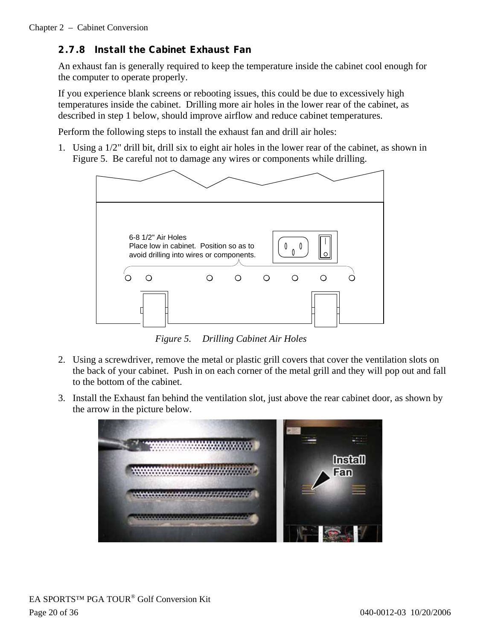### **2.7.8 Install the Cabinet Exhaust Fan**

An exhaust fan is generally required to keep the temperature inside the cabinet cool enough for the computer to operate properly.

If you experience blank screens or rebooting issues, this could be due to excessively high temperatures inside the cabinet. Drilling more air holes in the lower rear of the cabinet, as described in step 1 below, should improve airflow and reduce cabinet temperatures.

Perform the following steps to install the exhaust fan and drill air holes:

1. Using a 1/2" drill bit, drill six to eight air holes in the lower rear of the cabinet, as shown in Figure 5. Be careful not to damage any wires or components while drilling.



*Figure 5. Drilling Cabinet Air Holes* 

- 2. Using a screwdriver, remove the metal or plastic grill covers that cover the ventilation slots on the back of your cabinet. Push in on each corner of the metal grill and they will pop out and fall to the bottom of the cabinet.
- 3. Install the Exhaust fan behind the ventilation slot, just above the rear cabinet door, as shown by the arrow in the picture below.

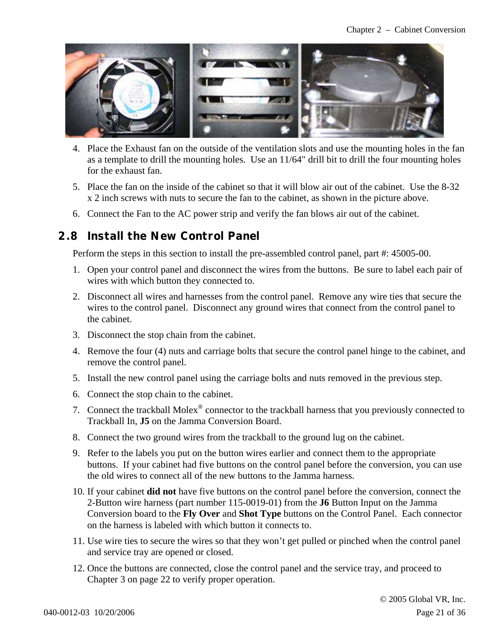

- 4. Place the Exhaust fan on the outside of the ventilation slots and use the mounting holes in the fan as a template to drill the mounting holes. Use an 11/64" drill bit to drill the four mounting holes for the exhaust fan.
- 5. Place the fan on the inside of the cabinet so that it will blow air out of the cabinet. Use the 8-32 x 2 inch screws with nuts to secure the fan to the cabinet, as shown in the picture above.
- 6. Connect the Fan to the AC power strip and verify the fan blows air out of the cabinet.

### **2.8 Install the New Control Panel**

Perform the steps in this section to install the pre-assembled control panel, part #: 45005-00.

- 1. Open your control panel and disconnect the wires from the buttons. Be sure to label each pair of wires with which button they connected to.
- 2. Disconnect all wires and harnesses from the control panel. Remove any wire ties that secure the wires to the control panel. Disconnect any ground wires that connect from the control panel to the cabinet.
- 3. Disconnect the stop chain from the cabinet.
- 4. Remove the four (4) nuts and carriage bolts that secure the control panel hinge to the cabinet, and remove the control panel.
- 5. Install the new control panel using the carriage bolts and nuts removed in the previous step.
- 6. Connect the stop chain to the cabinet.
- 7. Connect the trackball Molex<sup>®</sup> connector to the trackball harness that you previously connected to Trackball In, **J5** on the Jamma Conversion Board.
- 8. Connect the two ground wires from the trackball to the ground lug on the cabinet.
- 9. Refer to the labels you put on the button wires earlier and connect them to the appropriate buttons. If your cabinet had five buttons on the control panel before the conversion, you can use the old wires to connect all of the new buttons to the Jamma harness.
- 10. If your cabinet **did not** have five buttons on the control panel before the conversion, connect the 2-Button wire harness (part number 115-0019-01) from the **J6** Button Input on the Jamma Conversion board to the **Fly Over** and **Shot Type** buttons on the Control Panel. Each connector on the harness is labeled with which button it connects to.
- 11. Use wire ties to secure the wires so that they won't get pulled or pinched when the control panel and service tray are opened or closed.
- 12. Once the buttons are connected, close the control panel and the service tray, and proceed to Chapter 3 on page 22 to verify proper operation.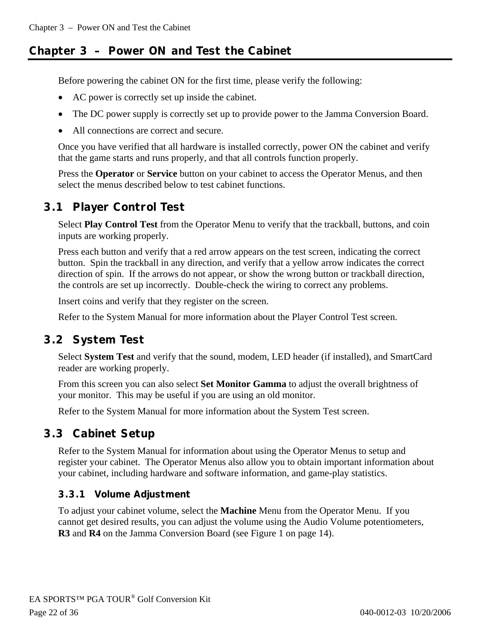# **Chapter 3 – Power ON and Test the Cabinet**

Before powering the cabinet ON for the first time, please verify the following:

- AC power is correctly set up inside the cabinet.
- The DC power supply is correctly set up to provide power to the Jamma Conversion Board.
- All connections are correct and secure.

Once you have verified that all hardware is installed correctly, power ON the cabinet and verify that the game starts and runs properly, and that all controls function properly.

Press the **Operator** or **Service** button on your cabinet to access the Operator Menus, and then select the menus described below to test cabinet functions.

# **3.1 Player Control Test**

Select **Play Control Test** from the Operator Menu to verify that the trackball, buttons, and coin inputs are working properly.

Press each button and verify that a red arrow appears on the test screen, indicating the correct button. Spin the trackball in any direction, and verify that a yellow arrow indicates the correct direction of spin. If the arrows do not appear, or show the wrong button or trackball direction, the controls are set up incorrectly. Double-check the wiring to correct any problems.

Insert coins and verify that they register on the screen.

Refer to the System Manual for more information about the Player Control Test screen.

# **3.2 System Test**

Select **System Test** and verify that the sound, modem, LED header (if installed), and SmartCard reader are working properly.

From this screen you can also select **Set Monitor Gamma** to adjust the overall brightness of your monitor. This may be useful if you are using an old monitor.

Refer to the System Manual for more information about the System Test screen.

# **3.3 Cabinet Setup**

Refer to the System Manual for information about using the Operator Menus to setup and register your cabinet. The Operator Menus also allow you to obtain important information about your cabinet, including hardware and software information, and game-play statistics.

# **3.3.1 Volume Adjustment**

To adjust your cabinet volume, select the **Machine** Menu from the Operator Menu. If you cannot get desired results, you can adjust the volume using the Audio Volume potentiometers, **R3** and **R4** on the Jamma Conversion Board (see Figure 1 on page 14).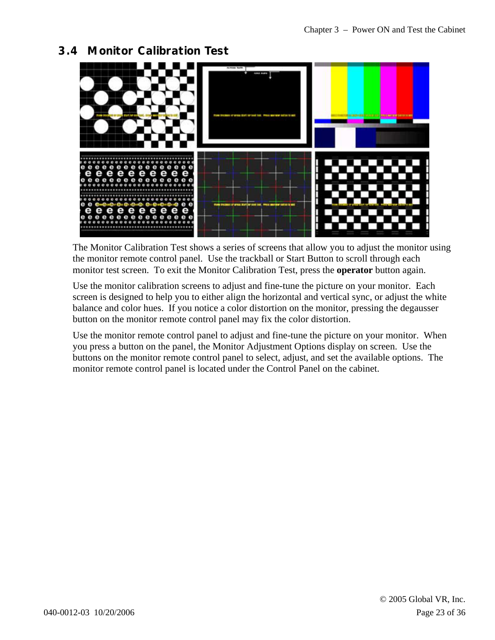# **3.4 Monitor Calibration Test**



The Monitor Calibration Test shows a series of screens that allow you to adjust the monitor using the monitor remote control panel. Use the trackball or Start Button to scroll through each monitor test screen. To exit the Monitor Calibration Test, press the **operator** button again.

Use the monitor calibration screens to adjust and fine-tune the picture on your monitor. Each screen is designed to help you to either align the horizontal and vertical sync, or adjust the white balance and color hues. If you notice a color distortion on the monitor, pressing the degausser button on the monitor remote control panel may fix the color distortion.

Use the monitor remote control panel to adjust and fine-tune the picture on your monitor. When you press a button on the panel, the Monitor Adjustment Options display on screen. Use the buttons on the monitor remote control panel to select, adjust, and set the available options. The monitor remote control panel is located under the Control Panel on the cabinet.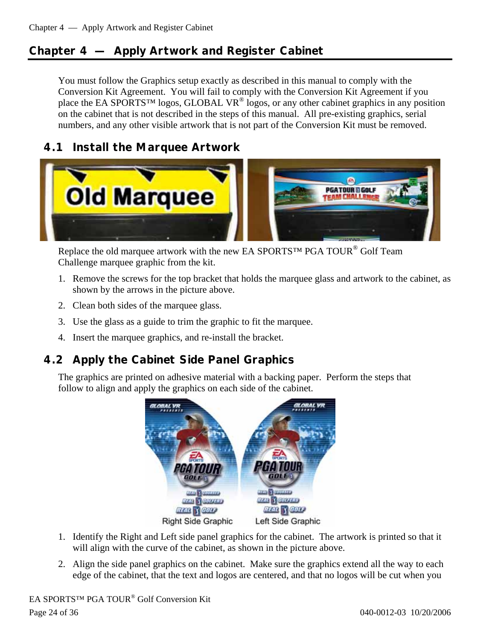# **Chapter 4 — Apply Artwork and Register Cabinet**

You must follow the Graphics setup exactly as described in this manual to comply with the Conversion Kit Agreement. You will fail to comply with the Conversion Kit Agreement if you place the EA SPORTS™ logos, GLOBAL VR<sup>®</sup> logos, or any other cabinet graphics in any position on the cabinet that is not described in the steps of this manual. All pre-existing graphics, serial numbers, and any other visible artwork that is not part of the Conversion Kit must be removed.

# **4.1 Install the Marquee Artwork**



Replace the old marquee artwork with the new EA SPORTS™ PGA TOUR<sup>®</sup> Golf Team Challenge marquee graphic from the kit.

- 1. Remove the screws for the top bracket that holds the marquee glass and artwork to the cabinet, as shown by the arrows in the picture above.
- 2. Clean both sides of the marquee glass.
- 3. Use the glass as a guide to trim the graphic to fit the marquee.
- 4. Insert the marquee graphics, and re-install the bracket.

# **4.2 Apply the Cabinet Side Panel Graphics**

The graphics are printed on adhesive material with a backing paper. Perform the steps that follow to align and apply the graphics on each side of the cabinet.



- 1. Identify the Right and Left side panel graphics for the cabinet. The artwork is printed so that it will align with the curve of the cabinet, as shown in the picture above.
- 2. Align the side panel graphics on the cabinet. Make sure the graphics extend all the way to each edge of the cabinet, that the text and logos are centered, and that no logos will be cut when you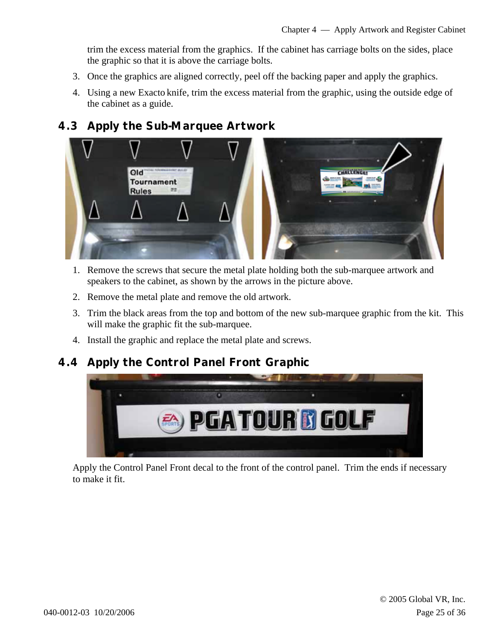trim the excess material from the graphics. If the cabinet has carriage bolts on the sides, place the graphic so that it is above the carriage bolts.

- 3. Once the graphics are aligned correctly, peel off the backing paper and apply the graphics.
- 4. Using a new Exacto knife, trim the excess material from the graphic, using the outside edge of the cabinet as a guide.

### **4.3 Apply the Sub-Marquee Artwork**



- 1. Remove the screws that secure the metal plate holding both the sub-marquee artwork and speakers to the cabinet, as shown by the arrows in the picture above.
- 2. Remove the metal plate and remove the old artwork.
- 3. Trim the black areas from the top and bottom of the new sub-marquee graphic from the kit. This will make the graphic fit the sub-marquee.
- 4. Install the graphic and replace the metal plate and screws.

# **4.4 Apply the Control Panel Front Graphic**



Apply the Control Panel Front decal to the front of the control panel. Trim the ends if necessary to make it fit.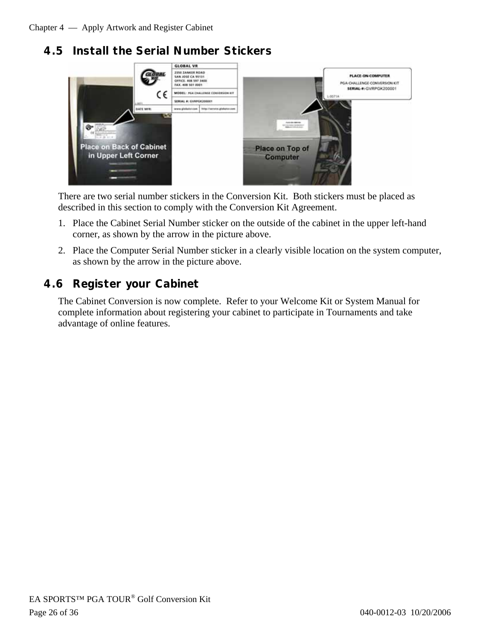# **4.5 Install the Serial Number Stickers**



There are two serial number stickers in the Conversion Kit. Both stickers must be placed as described in this section to comply with the Conversion Kit Agreement.

- 1. Place the Cabinet Serial Number sticker on the outside of the cabinet in the upper left-hand corner, as shown by the arrow in the picture above.
- 2. Place the Computer Serial Number sticker in a clearly visible location on the system computer, as shown by the arrow in the picture above.

# **4.6 Register your Cabinet**

The Cabinet Conversion is now complete. Refer to your Welcome Kit or System Manual for complete information about registering your cabinet to participate in Tournaments and take advantage of online features.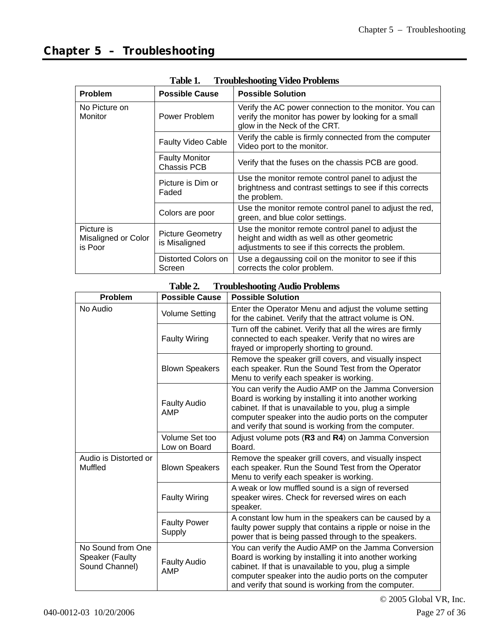| TANIC T.<br>Troubleshooting video I robiems  |                                             |                                                                                                                                                       |  |  |
|----------------------------------------------|---------------------------------------------|-------------------------------------------------------------------------------------------------------------------------------------------------------|--|--|
| <b>Problem</b>                               | <b>Possible Cause</b>                       | <b>Possible Solution</b>                                                                                                                              |  |  |
| No Picture on<br>Monitor                     | Power Problem                               | Verify the AC power connection to the monitor. You can<br>verify the monitor has power by looking for a small<br>glow in the Neck of the CRT.         |  |  |
|                                              | <b>Faulty Video Cable</b>                   | Verify the cable is firmly connected from the computer<br>Video port to the monitor.                                                                  |  |  |
|                                              | <b>Faulty Monitor</b><br><b>Chassis PCB</b> | Verify that the fuses on the chassis PCB are good.                                                                                                    |  |  |
|                                              | Picture is Dim or<br>Faded                  | Use the monitor remote control panel to adjust the<br>brightness and contrast settings to see if this corrects<br>the problem.                        |  |  |
|                                              | Colors are poor                             | Use the monitor remote control panel to adjust the red,<br>green, and blue color settings.                                                            |  |  |
| Picture is<br>Misaligned or Color<br>is Poor | <b>Picture Geometry</b><br>is Misaligned    | Use the monitor remote control panel to adjust the<br>height and width as well as other geometric<br>adjustments to see if this corrects the problem. |  |  |
|                                              | Distorted Colors on<br>Screen               | Use a degaussing coil on the monitor to see if this<br>corrects the color problem.                                                                    |  |  |

**Table 1. Troubleshooting Video Problems** 

#### **Table 2. Troubleshooting Audio Problems**

| <b>Problem</b>                                         | <b>Possible Cause</b>             | <b>Possible Solution</b>                                                                                                                                                                                                                                                                |
|--------------------------------------------------------|-----------------------------------|-----------------------------------------------------------------------------------------------------------------------------------------------------------------------------------------------------------------------------------------------------------------------------------------|
| No Audio                                               | <b>Volume Setting</b>             | Enter the Operator Menu and adjust the volume setting<br>for the cabinet. Verify that the attract volume is ON.                                                                                                                                                                         |
|                                                        | <b>Faulty Wiring</b>              | Turn off the cabinet. Verify that all the wires are firmly<br>connected to each speaker. Verify that no wires are<br>frayed or improperly shorting to ground.                                                                                                                           |
|                                                        | <b>Blown Speakers</b>             | Remove the speaker grill covers, and visually inspect<br>each speaker. Run the Sound Test from the Operator<br>Menu to verify each speaker is working.                                                                                                                                  |
|                                                        | <b>Faulty Audio</b><br><b>AMP</b> | You can verify the Audio AMP on the Jamma Conversion<br>Board is working by installing it into another working<br>cabinet. If that is unavailable to you, plug a simple<br>computer speaker into the audio ports on the computer<br>and verify that sound is working from the computer. |
|                                                        | Volume Set too<br>Low on Board    | Adjust volume pots (R3 and R4) on Jamma Conversion<br>Board.                                                                                                                                                                                                                            |
| Audio is Distorted or<br>Muffled                       | <b>Blown Speakers</b>             | Remove the speaker grill covers, and visually inspect<br>each speaker. Run the Sound Test from the Operator<br>Menu to verify each speaker is working.                                                                                                                                  |
|                                                        | <b>Faulty Wiring</b>              | A weak or low muffled sound is a sign of reversed<br>speaker wires. Check for reversed wires on each<br>speaker.                                                                                                                                                                        |
|                                                        | <b>Faulty Power</b><br>Supply     | A constant low hum in the speakers can be caused by a<br>faulty power supply that contains a ripple or noise in the<br>power that is being passed through to the speakers.                                                                                                              |
| No Sound from One<br>Speaker (Faulty<br>Sound Channel) | <b>Faulty Audio</b><br>AMP        | You can verify the Audio AMP on the Jamma Conversion<br>Board is working by installing it into another working<br>cabinet. If that is unavailable to you, plug a simple<br>computer speaker into the audio ports on the computer<br>and verify that sound is working from the computer. |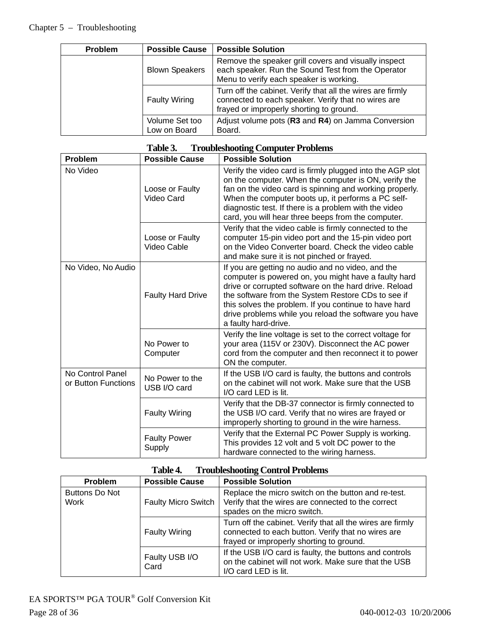| <b>Problem</b> | <b>Possible Cause</b>          | <b>Possible Solution</b>                                                                                                                                      |
|----------------|--------------------------------|---------------------------------------------------------------------------------------------------------------------------------------------------------------|
|                | <b>Blown Speakers</b>          | Remove the speaker grill covers and visually inspect<br>each speaker. Run the Sound Test from the Operator<br>Menu to verify each speaker is working.         |
|                | <b>Faulty Wiring</b>           | Turn off the cabinet. Verify that all the wires are firmly<br>connected to each speaker. Verify that no wires are<br>frayed or improperly shorting to ground. |
|                | Volume Set too<br>Low on Board | Adjust volume pots (R3 and R4) on Jamma Conversion<br>Board.                                                                                                  |

### **Table 3. Troubleshooting Computer Problems**

| Problem                                 | <b>Possible Cause</b>           | <b>Possible Solution</b>                                                                                                                                                                                                                                                                                                                                           |
|-----------------------------------------|---------------------------------|--------------------------------------------------------------------------------------------------------------------------------------------------------------------------------------------------------------------------------------------------------------------------------------------------------------------------------------------------------------------|
| No Video                                | Loose or Faulty<br>Video Card   | Verify the video card is firmly plugged into the AGP slot<br>on the computer. When the computer is ON, verify the<br>fan on the video card is spinning and working properly.<br>When the computer boots up, it performs a PC self-<br>diagnostic test. If there is a problem with the video<br>card, you will hear three beeps from the computer.                  |
|                                         | Loose or Faulty<br>Video Cable  | Verify that the video cable is firmly connected to the<br>computer 15-pin video port and the 15-pin video port<br>on the Video Converter board. Check the video cable<br>and make sure it is not pinched or frayed.                                                                                                                                                |
| No Video, No Audio                      | <b>Faulty Hard Drive</b>        | If you are getting no audio and no video, and the<br>computer is powered on, you might have a faulty hard<br>drive or corrupted software on the hard drive. Reload<br>the software from the System Restore CDs to see if<br>this solves the problem. If you continue to have hard<br>drive problems while you reload the software you have<br>a faulty hard-drive. |
|                                         | No Power to<br>Computer         | Verify the line voltage is set to the correct voltage for<br>your area (115V or 230V). Disconnect the AC power<br>cord from the computer and then reconnect it to power<br>ON the computer.                                                                                                                                                                        |
| No Control Panel<br>or Button Functions | No Power to the<br>USB I/O card | If the USB I/O card is faulty, the buttons and controls<br>on the cabinet will not work. Make sure that the USB<br>I/O card LED is lit.                                                                                                                                                                                                                            |
|                                         | <b>Faulty Wiring</b>            | Verify that the DB-37 connector is firmly connected to<br>the USB I/O card. Verify that no wires are frayed or<br>improperly shorting to ground in the wire harness.                                                                                                                                                                                               |
|                                         | <b>Faulty Power</b><br>Supply   | Verify that the External PC Power Supply is working.<br>This provides 12 volt and 5 volt DC power to the<br>hardware connected to the wiring harness.                                                                                                                                                                                                              |

| Table 4. | <b>Troubleshooting Control Problems</b> |
|----------|-----------------------------------------|
|----------|-----------------------------------------|

| Problem                       | <b>Possible Cause</b>      | <b>Possible Solution</b>                                                                                                                                     |
|-------------------------------|----------------------------|--------------------------------------------------------------------------------------------------------------------------------------------------------------|
| <b>Buttons Do Not</b><br>Work | <b>Faulty Micro Switch</b> | Replace the micro switch on the button and re-test.<br>Verify that the wires are connected to the correct<br>spades on the micro switch.                     |
|                               | <b>Faulty Wiring</b>       | Turn off the cabinet. Verify that all the wires are firmly<br>connected to each button. Verify that no wires are<br>frayed or improperly shorting to ground. |
|                               | Faulty USB I/O<br>Card     | If the USB I/O card is faulty, the buttons and controls<br>on the cabinet will not work. Make sure that the USB<br>I/O card LED is lit.                      |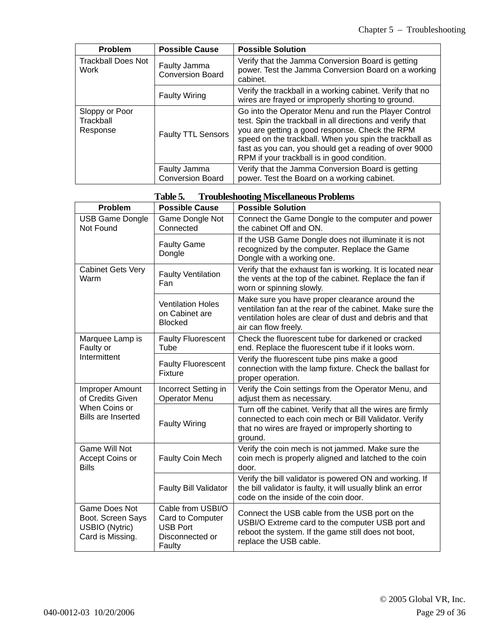| <b>Problem</b>                          | <b>Possible Cause</b>                   | <b>Possible Solution</b>                                                                                                                                                                                                                                                                                                                |
|-----------------------------------------|-----------------------------------------|-----------------------------------------------------------------------------------------------------------------------------------------------------------------------------------------------------------------------------------------------------------------------------------------------------------------------------------------|
| <b>Trackball Does Not</b><br>Work       | Faulty Jamma<br><b>Conversion Board</b> | Verify that the Jamma Conversion Board is getting<br>power. Test the Jamma Conversion Board on a working<br>cabinet.                                                                                                                                                                                                                    |
|                                         | <b>Faulty Wiring</b>                    | Verify the trackball in a working cabinet. Verify that no<br>wires are frayed or improperly shorting to ground.                                                                                                                                                                                                                         |
| Sloppy or Poor<br>Trackball<br>Response | <b>Faulty TTL Sensors</b>               | Go into the Operator Menu and run the Player Control<br>test. Spin the trackball in all directions and verify that<br>you are getting a good response. Check the RPM<br>speed on the trackball. When you spin the trackball as<br>fast as you can, you should get a reading of over 9000<br>RPM if your trackball is in good condition. |
|                                         | Faulty Jamma<br><b>Conversion Board</b> | Verify that the Jamma Conversion Board is getting<br>power. Test the Board on a working cabinet.                                                                                                                                                                                                                                        |

|  | Table 5. | <b>Troubleshooting Miscellaneous Problems</b> |
|--|----------|-----------------------------------------------|
|--|----------|-----------------------------------------------|

| Problem                                                                         | <b>Possible Cause</b>                                                                 | <b>Possible Solution</b>                                                                                                                                                                       |
|---------------------------------------------------------------------------------|---------------------------------------------------------------------------------------|------------------------------------------------------------------------------------------------------------------------------------------------------------------------------------------------|
| <b>USB Game Dongle</b><br>Not Found                                             | Game Dongle Not<br>Connected                                                          | Connect the Game Dongle to the computer and power<br>the cabinet Off and ON.                                                                                                                   |
|                                                                                 | <b>Faulty Game</b><br>Dongle                                                          | If the USB Game Dongle does not illuminate it is not<br>recognized by the computer. Replace the Game<br>Dongle with a working one.                                                             |
| <b>Cabinet Gets Very</b><br>Warm                                                | <b>Faulty Ventilation</b><br>Fan                                                      | Verify that the exhaust fan is working. It is located near<br>the vents at the top of the cabinet. Replace the fan if<br>worn or spinning slowly.                                              |
|                                                                                 | <b>Ventilation Holes</b><br>on Cabinet are<br><b>Blocked</b>                          | Make sure you have proper clearance around the<br>ventilation fan at the rear of the cabinet. Make sure the<br>ventilation holes are clear of dust and debris and that<br>air can flow freely. |
| Marquee Lamp is<br>Faulty or                                                    | <b>Faulty Fluorescent</b><br>Tube                                                     | Check the fluorescent tube for darkened or cracked<br>end. Replace the fluorescent tube if it looks worn.                                                                                      |
| Intermittent                                                                    | <b>Faulty Fluorescent</b><br>Fixture                                                  | Verify the fluorescent tube pins make a good<br>connection with the lamp fixture. Check the ballast for<br>proper operation.                                                                   |
| Improper Amount<br>of Credits Given                                             | Incorrect Setting in<br><b>Operator Menu</b>                                          | Verify the Coin settings from the Operator Menu, and<br>adjust them as necessary.                                                                                                              |
| When Coins or<br><b>Bills are Inserted</b>                                      | <b>Faulty Wiring</b>                                                                  | Turn off the cabinet. Verify that all the wires are firmly<br>connected to each coin mech or Bill Validator. Verify<br>that no wires are frayed or improperly shorting to<br>ground.           |
| <b>Game Will Not</b><br>Accept Coins or<br><b>Bills</b>                         | Faulty Coin Mech                                                                      | Verify the coin mech is not jammed. Make sure the<br>coin mech is properly aligned and latched to the coin<br>door.                                                                            |
|                                                                                 | <b>Faulty Bill Validator</b>                                                          | Verify the bill validator is powered ON and working. If<br>the bill validator is faulty, it will usually blink an error<br>code on the inside of the coin door.                                |
| Game Does Not<br>Boot. Screen Says<br><b>USBIO</b> (Nytric)<br>Card is Missing. | Cable from USBI/O<br>Card to Computer<br><b>USB Port</b><br>Disconnected or<br>Faulty | Connect the USB cable from the USB port on the<br>USBI/O Extreme card to the computer USB port and<br>reboot the system. If the game still does not boot,<br>replace the USB cable.            |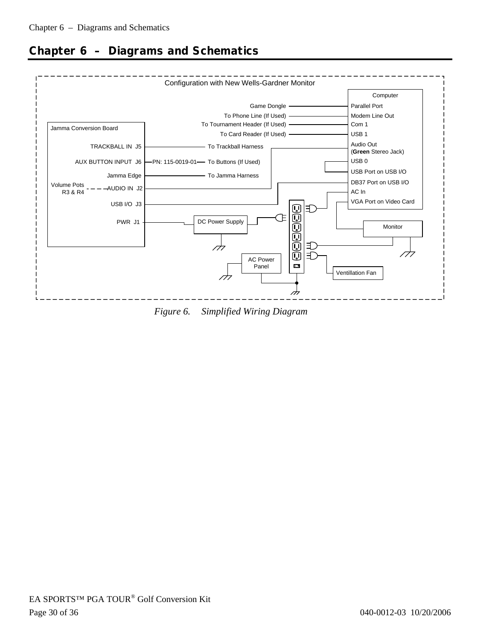

# **Chapter 6 – Diagrams and Schematics**

*Figure 6. Simplified Wiring Diagram*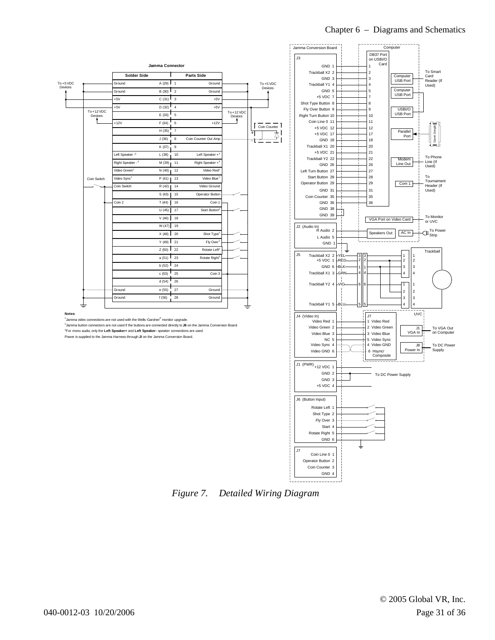

*Figure 7. Detailed Wiring Diagram*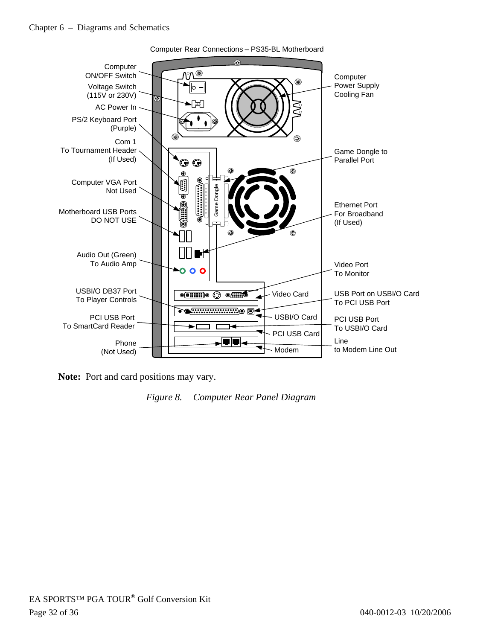

**Note:** Port and card positions may vary.

*Figure 8. Computer Rear Panel Diagram*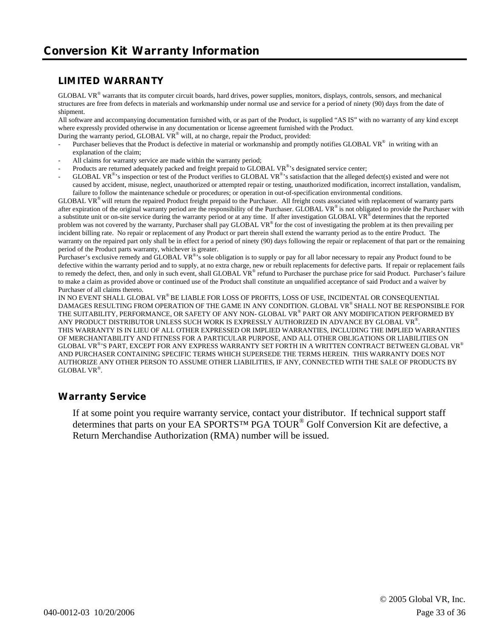#### **LIMITED WARRANTY**

GLOBAL VR<sup>®</sup> warrants that its computer circuit boards, hard drives, power supplies, monitors, displays, controls, sensors, and mechanical structures are free from defects in materials and workmanship under normal use and service for a period of ninety (90) days from the date of shipment.

All software and accompanying documentation furnished with, or as part of the Product, is supplied "AS IS" with no warranty of any kind except where expressly provided otherwise in any documentation or license agreement furnished with the Product.

- During the warranty period, GLOBAL VR® will, at no charge, repair the Product, provided:
- Purchaser believes that the Product is defective in material or workmanship and promptly notifies GLOBAL VR<sup>®</sup> in writing with an explanation of the claim;
- All claims for warranty service are made within the warranty period;
- Products are returned adequately packed and freight prepaid to GLOBAL VR<sup>®</sup>'s designated service center;
- GLOBAL VR<sup>®</sup>'s inspection or test of the Product verifies to GLOBAL VR<sup>®</sup>'s satisfaction that the alleged defect(s) existed and were not caused by accident, misuse, neglect, unauthorized or attempted repair or testing, unauthorized modification, incorrect installation, vandalism, failure to follow the maintenance schedule or procedures; or operation in out-of-specification environmental conditions.

 $GLOBAL VR<sup>®</sup>$  will return the repaired Product freight prepaid to the Purchaser. All freight costs associated with replacement of warranty parts after expiration of the original warranty period are the responsibility of the Purchaser. GLOBAL VR<sup>®</sup> is not obligated to provide the Purchaser with a substitute unit or on-site service during the warranty period or at any time. If after investigation GLOBAL VR® determines that the reported problem was not covered by the warranty, Purchaser shall pay GLOBAL VR® for the cost of investigating the problem at its then prevailing per incident billing rate. No repair or replacement of any Product or part therein shall extend the warranty period as to the entire Product. The warranty on the repaired part only shall be in effect for a period of ninety (90) days following the repair or replacement of that part or the remaining period of the Product parts warranty, whichever is greater.

Purchaser's exclusive remedy and GLOBAL VR<sup>®</sup>'s sole obligation is to supply or pay for all labor necessary to repair any Product found to be defective within the warranty period and to supply, at no extra charge, new or rebuilt replacements for defective parts. If repair or replacement fails to remedy the defect, then, and only in such event, shall GLOBAL VR® refund to Purchaser the purchase price for said Product. Purchaser's failure to make a claim as provided above or continued use of the Product shall constitute an unqualified acceptance of said Product and a waiver by Purchaser of all claims thereto.

IN NO EVENT SHALL GLOBAL VR® BE LIABLE FOR LOSS OF PROFITS, LOSS OF USE, INCIDENTAL OR CONSEQUENTIAL DAMAGES RESULTING FROM OPERATION OF THE GAME IN ANY CONDITION. GLOBAL VR® SHALL NOT BE RESPONSIBLE FOR THE SUITABILITY, PERFORMANCE, OR SAFETY OF ANY NON- GLOBAL VR® PART OR ANY MODIFICATION PERFORMED BY ANY PRODUCT DISTRIBUTOR UNLESS SUCH WORK IS EXPRESSLY AUTHORIZED IN ADVANCE BY GLOBAL VR®. THIS WARRANTY IS IN LIEU OF ALL OTHER EXPRESSED OR IMPLIED WARRANTIES, INCLUDING THE IMPLIED WARRANTIES OF MERCHANTABILITY AND FITNESS FOR A PARTICULAR PURPOSE, AND ALL OTHER OBLIGATIONS OR LIABILITIES ON GLOBAL VR®'S PART, EXCEPT FOR ANY EXPRESS WARRANTY SET FORTH IN A WRITTEN CONTRACT BETWEEN GLOBAL VR® AND PURCHASER CONTAINING SPECIFIC TERMS WHICH SUPERSEDE THE TERMS HEREIN. THIS WARRANTY DOES NOT AUTHORIZE ANY OTHER PERSON TO ASSUME OTHER LIABILITIES, IF ANY, CONNECTED WITH THE SALE OF PRODUCTS BY GLOBAL VR®.

#### **Warranty Service**

If at some point you require warranty service, contact your distributor. If technical support staff determines that parts on your EA SPORTS™ PGA TOUR® Golf Conversion Kit are defective, a Return Merchandise Authorization (RMA) number will be issued.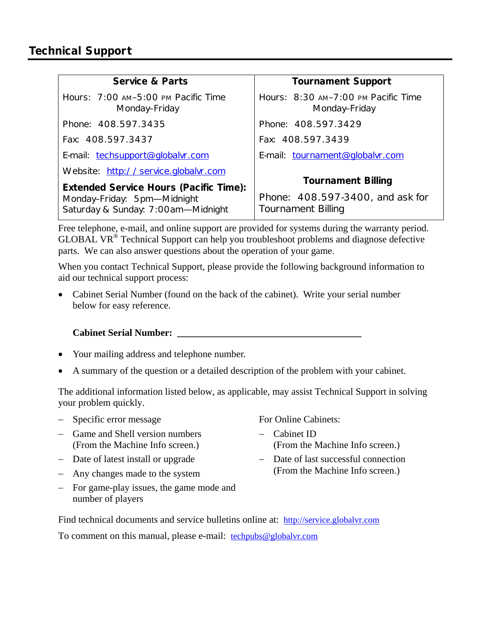| <b>Service &amp; Parts</b>                                                                                         | <b>Tournament Support</b>                                                                  |
|--------------------------------------------------------------------------------------------------------------------|--------------------------------------------------------------------------------------------|
| Hours: 7:00 AM-5:00 PM Pacific Time<br>Monday-Friday                                                               | Hours: 8:30 AM-7:00 PM Pacific Time<br>Monday-Friday                                       |
| Phone: 408.597.3435                                                                                                | Phone: 408.597.3429                                                                        |
| Fax: 408.597.3437                                                                                                  | Fax: 408.597.3439                                                                          |
| E-mail: techsupport@globalvr.com                                                                                   | E-mail: tournament@globalvr.com                                                            |
| Website: http://service.globalvr.com                                                                               |                                                                                            |
| <b>Extended Service Hours (Pacific Time):</b><br>Monday-Friday: 5pm-Midnight<br>Saturday & Sunday: 7:00am-Midnight | <b>Tournament Billing</b><br>Phone: 408.597-3400, and ask for<br><b>Tournament Billing</b> |

Free telephone, e-mail, and online support are provided for systems during the warranty period. GLOBAL VR® Technical Support can help you troubleshoot problems and diagnose defective parts. We can also answer questions about the operation of your game.

When you contact Technical Support, please provide the following background information to aid our technical support process:

• Cabinet Serial Number (found on the back of the cabinet). Write your serial number below for easy reference.

**Cabinet Serial Number: \_\_\_\_\_\_\_\_\_\_\_\_\_\_\_\_\_\_\_\_\_\_\_\_\_\_\_\_\_\_\_\_\_\_\_\_\_\_** 

- Your mailing address and telephone number.
- A summary of the question or a detailed description of the problem with your cabinet.

The additional information listed below, as applicable, may assist Technical Support in solving your problem quickly.

- − Specific error message
- − Game and Shell version numbers (From the Machine Info screen.)
- − Date of latest install or upgrade
- − Any changes made to the system
- − For game-play issues, the game mode and number of players

For Online Cabinets:

- − Cabinet ID (From the Machine Info screen.)
- − Date of last successful connection (From the Machine Info screen.)
- Find technical documents and service bulletins online at: http://service.globalvr.com To comment on this manual, please e-mail: techpubs@globalvr.com